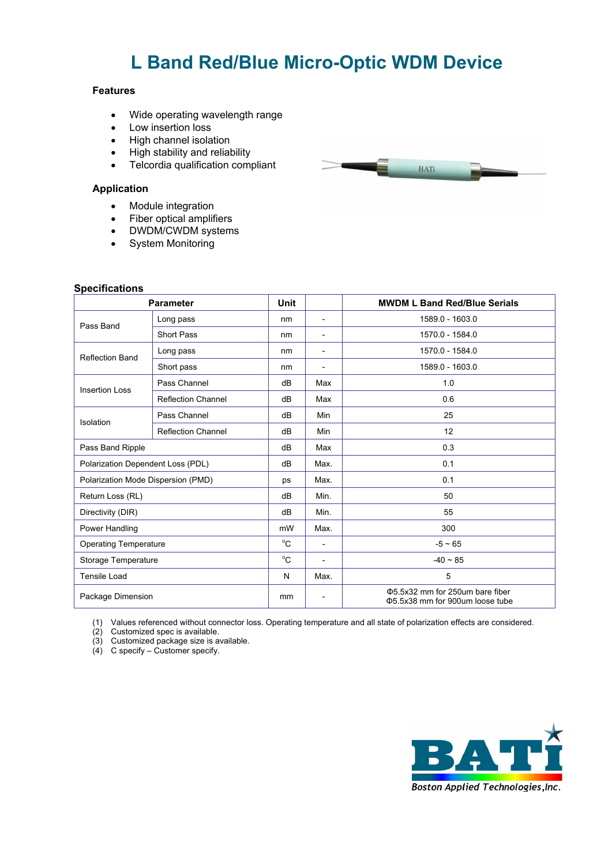# **L Band Red/Blue Micro-Optic WDM Device**

## **Features**

- Wide operating wavelength range
- Low insertion loss
- High channel isolation
- High stability and reliability
- Telcordia qualification compliant

## **Application**

- Module integration
- Fiber optical amplifiers
- DWDM/CWDM systems
- System Monitoring

### **Specifications**

| <b>Parameter</b>                   |                           | <b>Unit</b>  |                          | <b>MWDM L Band Red/Blue Serials</b>                                 |
|------------------------------------|---------------------------|--------------|--------------------------|---------------------------------------------------------------------|
| Pass Band                          | Long pass                 | nm           | $\overline{\phantom{a}}$ | 1589.0 - 1603.0                                                     |
|                                    | <b>Short Pass</b>         | nm           | $\overline{\phantom{a}}$ | 1570.0 - 1584.0                                                     |
| <b>Reflection Band</b>             | Long pass                 | nm           | $\overline{\phantom{a}}$ | 1570.0 - 1584.0                                                     |
|                                    | Short pass                | nm           | $\overline{\phantom{a}}$ | 1589.0 - 1603.0                                                     |
| <b>Insertion Loss</b>              | Pass Channel              | dB           | Max                      | 1.0                                                                 |
|                                    | <b>Reflection Channel</b> | dB           | Max                      | 0.6                                                                 |
| Isolation                          | Pass Channel              | dB           | Min                      | 25                                                                  |
|                                    | <b>Reflection Channel</b> | dB           | Min                      | 12                                                                  |
| Pass Band Ripple                   |                           | dB           | Max                      | 0.3                                                                 |
| Polarization Dependent Loss (PDL)  |                           | dB           | Max.                     | 0.1                                                                 |
| Polarization Mode Dispersion (PMD) |                           | ps           | Max.                     | 0.1                                                                 |
| Return Loss (RL)                   |                           | dB           | Min.                     | 50                                                                  |
| Directivity (DIR)                  |                           | dB           | Min.                     | 55                                                                  |
| Power Handling                     |                           | mW           | Max.                     | 300                                                                 |
| <b>Operating Temperature</b>       |                           | $^{\circ}$ C | $\overline{\phantom{a}}$ | $-5 \sim 65$                                                        |
| Storage Temperature                |                           | $^{\circ}$ C | $\overline{\phantom{a}}$ | $-40 \sim 85$                                                       |
| <b>Tensile Load</b>                |                           | N            | Max.                     | 5                                                                   |
| Package Dimension                  |                           | mm           | $\overline{\phantom{a}}$ | Φ5.5x32 mm for 250um bare fiber<br>\$5.5x38 mm for 900um loose tube |

(1) Values referenced without connector loss. Operating temperature and all state of polarization effects are considered.

(2) Customized spec is available.

(3) Customized package size is available.

(4) C specify – Customer specify.